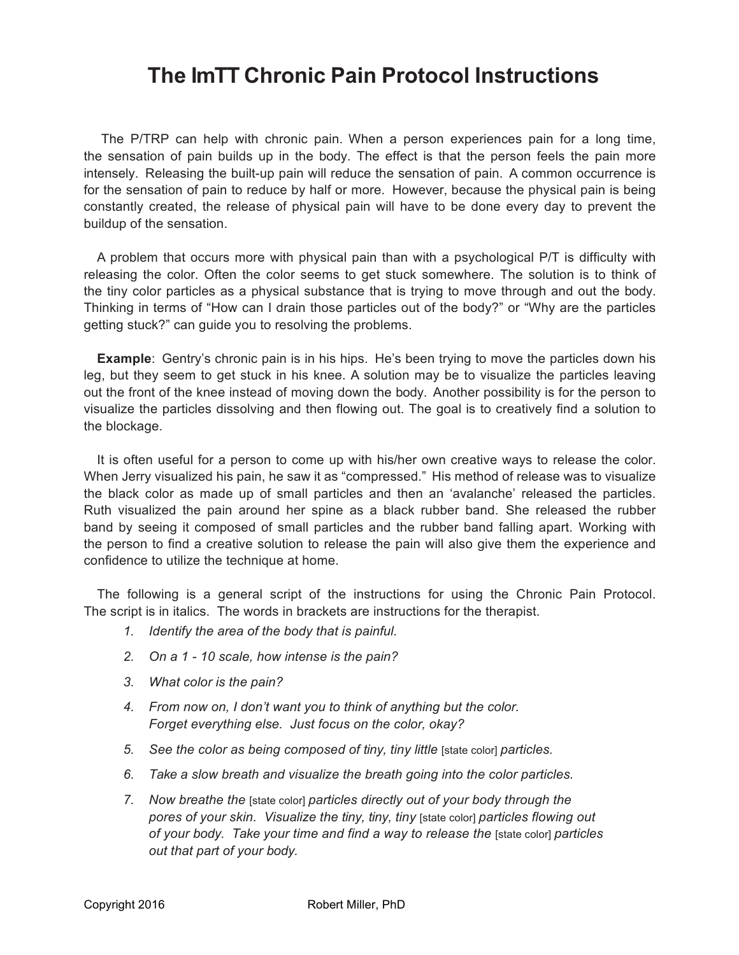## **The ImTT Chronic Pain Protocol Instructions**

 The P/TRP can help with chronic pain. When a person experiences pain for a long time, the sensation of pain builds up in the body. The effect is that the person feels the pain more intensely. Releasing the built-up pain will reduce the sensation of pain. A common occurrence is for the sensation of pain to reduce by half or more. However, because the physical pain is being constantly created, the release of physical pain will have to be done every day to prevent the buildup of the sensation.

 A problem that occurs more with physical pain than with a psychological P/T is difficulty with releasing the color. Often the color seems to get stuck somewhere. The solution is to think of the tiny color particles as a physical substance that is trying to move through and out the body. Thinking in terms of "How can I drain those particles out of the body?" or "Why are the particles getting stuck?" can guide you to resolving the problems.

**Example**: Gentry's chronic pain is in his hips. He's been trying to move the particles down his leg, but they seem to get stuck in his knee. A solution may be to visualize the particles leaving out the front of the knee instead of moving down the body. Another possibility is for the person to visualize the particles dissolving and then flowing out. The goal is to creatively find a solution to the blockage.

 It is often useful for a person to come up with his/her own creative ways to release the color. When Jerry visualized his pain, he saw it as "compressed." His method of release was to visualize the black color as made up of small particles and then an 'avalanche' released the particles. Ruth visualized the pain around her spine as a black rubber band. She released the rubber band by seeing it composed of small particles and the rubber band falling apart. Working with the person to find a creative solution to release the pain will also give them the experience and confidence to utilize the technique at home.

 The following is a general script of the instructions for using the Chronic Pain Protocol. The script is in italics. The words in brackets are instructions for the therapist.

- *1. Identify the area of the body that is painful.*
- *2. On a 1 - 10 scale, how intense is the pain?*
- *3. What color is the pain?*
- *4. From now on, I don't want you to think of anything but the color. Forget everything else. Just focus on the color, okay?*
- *5. See the color as being composed of tiny, tiny little* [state color] *particles.*
- *6. Take a slow breath and visualize the breath going into the color particles.*
- *7. Now breathe the* [state color] *particles directly out of your body through the pores of your skin. Visualize the tiny, tiny, tiny* [state color] *particles flowing out of your body. Take your time and find a way to release the* [state color] *particles out that part of your body.*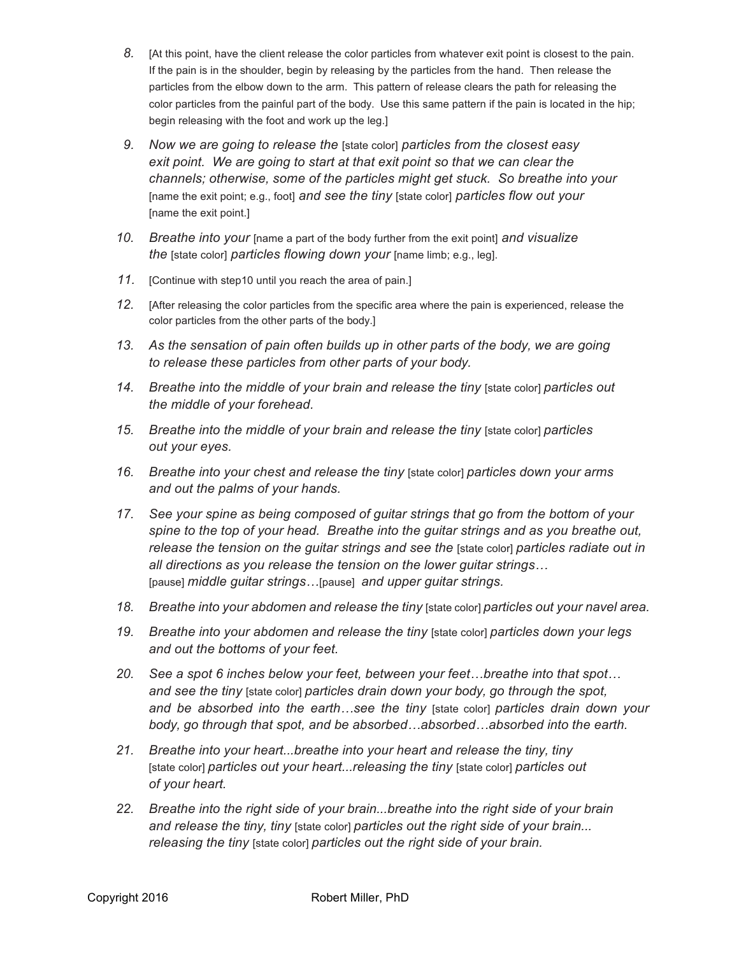- *8.* [At this point, have the client release the color particles from whatever exit point is closest to the pain. If the pain is in the shoulder, begin by releasing by the particles from the hand. Then release the particles from the elbow down to the arm. This pattern of release clears the path for releasing the color particles from the painful part of the body. Use this same pattern if the pain is located in the hip; begin releasing with the foot and work up the leg.]
- *9. Now we are going to release the* [state color] *particles from the closest easy exit point. We are going to start at that exit point so that we can clear the channels; otherwise, some of the particles might get stuck. So breathe into your* [name the exit point; e.g., foot] *and see the tiny* [state color] *particles flow out your* [name the exit point.]
- *10. Breathe into your* [name a part of the body further from the exit point] *and visualize the* [state color] *particles flowing down your* [name limb; e.g., leg].
- *11.* [Continue with step10 until you reach the area of pain.]
- *12.* [After releasing the color particles from the specific area where the pain is experienced, release the color particles from the other parts of the body.]
- *13. As the sensation of pain often builds up in other parts of the body, we are going to release these particles from other parts of your body.*
- *14. Breathe into the middle of your brain and release the tiny* [state color] *particles out the middle of your forehead.*
- *15. Breathe into the middle of your brain and release the tiny* [state color] *particles out your eyes.*
- *16. Breathe into your chest and release the tiny* [state color] *particles down your arms and out the palms of your hands.*
- *17. See your spine as being composed of guitar strings that go from the bottom of your spine to the top of your head. Breathe into the guitar strings and as you breathe out, release the tension on the guitar strings and see the* [state color] *particles radiate out in all directions as you release the tension on the lower guitar strings…* [pause] *middle guitar strings…*[pause] *and upper guitar strings.*
- *18. Breathe into your abdomen and release the tiny* [state color] *particles out your navel area.*
- *19. Breathe into your abdomen and release the tiny* [state color] *particles down your legs and out the bottoms of your feet.*
- *20. See a spot 6 inches below your feet, between your feet…breathe into that spot… and see the tiny* [state color] *particles drain down your body, go through the spot, and be absorbed into the earth…see the tiny* [state color] *particles drain down your body, go through that spot, and be absorbed…absorbed…absorbed into the earth.*
- *21. Breathe into your heart...breathe into your heart and release the tiny, tiny* [state color] *particles out your heart...releasing the tiny* [state color] *particles out of your heart.*
- *22. Breathe into the right side of your brain...breathe into the right side of your brain and release the tiny, tiny* [state color] *particles out the right side of your brain... releasing the tiny* [state color] *particles out the right side of your brain.*